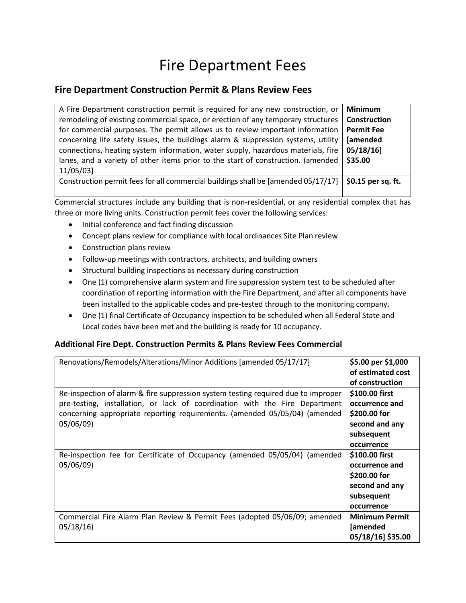## Fire Department Fees

## **Fire Department Construction Permit & Plans Review Fees**

| A Fire Department construction permit is required for any new construction, or    | <b>Minimum</b>                   |
|-----------------------------------------------------------------------------------|----------------------------------|
| remodeling of existing commercial space, or erection of any temporary structures  | <b>Construction</b>              |
| for commercial purposes. The permit allows us to review important information     | <b>Permit Fee</b>                |
| concerning life safety issues, the buildings alarm & suppression systems, utility | [amended                         |
| connections, heating system information, water supply, hazardous materials, fire  | $05/18/16$ ]                     |
| lanes, and a variety of other items prior to the start of construction. (amended  | \$35.00                          |
| 11/05/03                                                                          |                                  |
| Construction permit fees for all commercial buildings shall be [amended 05/17/17] | $\frac{1}{2}$ \$0.15 per sq. ft. |
|                                                                                   |                                  |

Commercial structures include any building that is non-residential, or any residential complex that has three or more living units. Construction permit fees cover the following services:

- Initial conference and fact finding discussion
- Concept plans review for compliance with local ordinances Site Plan review
- Construction plans review
- Follow-up meetings with contractors, architects, and building owners
- Structural building inspections as necessary during construction
- One (1) comprehensive alarm system and fire suppression system test to be scheduled after coordination of reporting information with the Fire Department, and after all components have been installed to the applicable codes and pre-tested through to the monitoring company.
- One (1) final Certificate of Occupancy inspection to be scheduled when all Federal State and Local codes have been met and the building is ready for 10 occupancy.

## **Additional Fire Dept. Construction Permits & Plans Review Fees Commercial**

| Renovations/Remodels/Alterations/Minor Additions [amended 05/17/17]                                                                                                                                                                                         | \$5.00 per \$1,000<br>of estimated cost<br>of construction                                     |
|-------------------------------------------------------------------------------------------------------------------------------------------------------------------------------------------------------------------------------------------------------------|------------------------------------------------------------------------------------------------|
| Re-inspection of alarm & fire suppression system testing required due to improper<br>pre-testing, installation, or lack of coordination with the Fire Department<br>concerning appropriate reporting requirements. (amended 05/05/04) (amended<br>05/06/09) | \$100.00 first<br>occurrence and<br>\$200.00 for<br>second and any<br>subsequent<br>occurrence |
| Re-inspection fee for Certificate of Occupancy (amended 05/05/04) (amended<br>05/06/09)                                                                                                                                                                     | \$100.00 first<br>occurrence and<br>\$200.00 for<br>second and any<br>subsequent<br>occurrence |
| Commercial Fire Alarm Plan Review & Permit Fees (adopted 05/06/09; amended<br>05/18/16                                                                                                                                                                      | <b>Minimum Permit</b><br>[amended<br>05/18/16] \$35.00                                         |